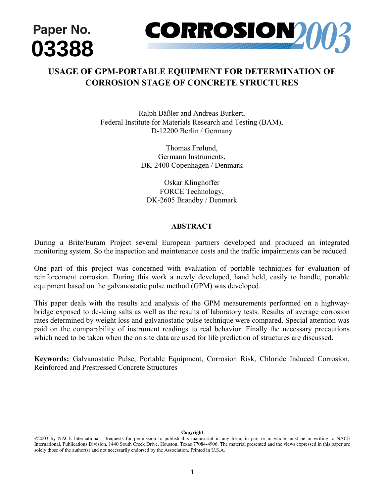

# **USAGE OF GPM-PORTABLE EQUIPMENT FOR DETERMINATION OF CORROSION STAGE OF CONCRETE STRUCTURES**

Ralph Bäßler and Andreas Burkert, Federal Institute for Materials Research and Testing (BAM), D-12200 Berlin / Germany

> Thomas Frølund, Germann Instruments, DK-2400 Copenhagen / Denmark

Oskar Klinghoffer FORCE Technology, DK-2605 Brøndby / Denmark

# **ABSTRACT**

During a Brite/Euram Project several European partners developed and produced an integrated monitoring system. So the inspection and maintenance costs and the traffic impairments can be reduced.

One part of this project was concerned with evaluation of portable techniques for evaluation of reinforcement corrosion. During this work a newly developed, hand held, easily to handle, portable equipment based on the galvanostatic pulse method (GPM) was developed.

This paper deals with the results and analysis of the GPM measurements performed on a highwaybridge exposed to de-icing salts as well as the results of laboratory tests. Results of average corrosion rates determined by weight loss and galvanostatic pulse technique were compared. Special attention was paid on the comparability of instrument readings to real behavior. Finally the necessary precautions which need to be taken when the on site data are used for life prediction of structures are discussed.

**Keywords:** Galvanostatic Pulse, Portable Equipment, Corrosion Risk, Chloride Induced Corrosion, Reinforced and Prestressed Concrete Structures

#### **Copyright**

<sup>©2003</sup> by NACE International. Requests for permission to publish this manuscript in any form, in part or in whole must be in writing to NACE International, Publications Division, 1440 South Creek Drive, Houston, Texas 77084-4906. The material presented and the views expressed in this paper are solely those of the author(s) and not necessarily endorsed by the Association. Printed in U.S.A.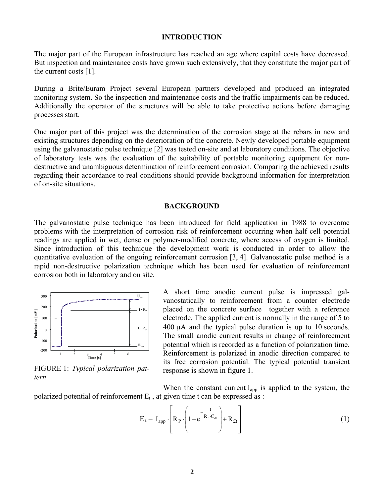#### **INTRODUCTION**

The major part of the European infrastructure has reached an age where capital costs have decreased. But inspection and maintenance costs have grown such extensively, that they constitute the major part of the current costs [\[1\]](#page-7-0).

During a Brite/Euram Project several European partners developed and produced an integrated monitoring system. So the inspection and maintenance costs and the traffic impairments can be reduced. Additionally the operator of the structures will be able to take protective actions before damaging processes start.

One major part of this project was the determination of the corrosion stage at the rebars in new and existing structures depending on the deterioration of the concrete. Newly developed portable equipment using the galvanostatic pulse technique [[2\]](#page-7-1) was tested on-site and at laboratory conditions. The objective of laboratory tests was the evaluation of the suitability of portable monitoring equipment for nondestructive and unambiguous determination of reinforcement corrosion. Comparing the achieved results regarding their accordance to real conditions should provide background information for interpretation of on-site situations.

#### **BACKGROUND**

The galvanostatic pulse technique has been introduced for field application in 1988 to overcome problems with the interpretation of corrosion risk of reinforcement occurring when half cell potential readings are applied in wet, dense or polymer-modified concrete, where access of oxygen is limited. Since introduction of this technique the development work is conducted in order to allow the quantitative evaluation of the ongoing reinforcement corrosion [\[3, 4\]](#page-7-2). Galvanostatic pulse method is a rapid non-destructive polarization technique which has been used for evaluation of reinforcement corrosion both in laboratory and on site.



<span id="page-1-0"></span>FIGURE 1: *Typical polarization pattern* 

A short time anodic current pulse is impressed galvanostatically to reinforcement from a counter electrode placed on the concrete surface together with a reference electrode. The applied current is normally in the range of 5 to 400 µA and the typical pulse duration is up to 10 seconds. The small anodic current results in change of reinforcement potential which is recorded as a function of polarization time. Reinforcement is polarized in anodic direction compared to its free corrosion potential. The typical potential transient response is shown in [figure 1.](#page-1-0)

When the constant current  $I_{app}$  is applied to the system, the polarized potential of reinforcement  $E_t$ , at given time t can be expressed as :

$$
E_{t} = I_{app} \cdot \left[ R_{p} \cdot \left( 1 - e^{-\frac{t}{R_{p} \cdot C_{dl}}} \right) + R_{\Omega} \right]
$$
 (1)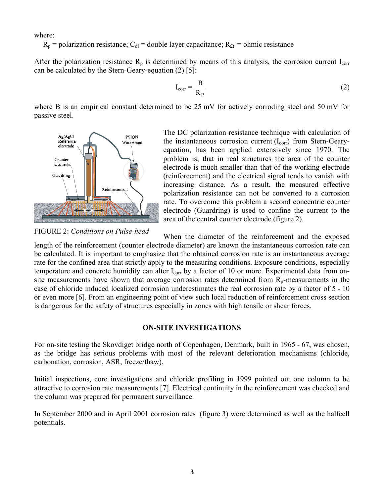where:

 $R_p$  = polarization resistance; C<sub>dl</sub> = double layer capacitance;  $R_\Omega$  = ohmic resistance

After the polarization resistance  $R_p$  is determined by means of this analysis, the corrosion current  $I_{corr}$ can be calculated by the Stern-Geary-equation ([2\)](#page-2-0) [[5\]](#page-7-3):

$$
I_{corr} = \frac{B}{R_P}
$$
 (2)

where B is an empirical constant determined to be 25 mV for actively corroding steel and 50 mV for passive steel.



<span id="page-2-0"></span>The DC polarization resistance technique with calculation of the instantaneous corrosion current  $(I_{\text{corr}})$  from Stern-Gearyequation, has been applied extensively since 1970. The problem is, that in real structures the area of the counter electrode is much smaller than that of the working electrode (reinforcement) and the electrical signal tends to vanish with increasing distance. As a result, the measured effective polarization resistance can not be converted to a corrosion rate. To overcome this problem a second concentric counter electrode (Guardring) is used to confine the current to the area of the central counter electrode ([figure 2\)](#page-2-1).

<span id="page-2-1"></span>FIGURE 2: *Conditions on Pulse-head* 

When the diameter of the reinforcement and the exposed

length of the reinforcement (counter electrode diameter) are known the instantaneous corrosion rate can be calculated. It is important to emphasize that the obtained corrosion rate is an instantaneous average rate for the confined area that strictly apply to the measuring conditions. Exposure conditions, especially temperature and concrete humidity can alter I<sub>corr</sub> by a factor of 10 or more. Experimental data from onsite measurements have shown that average corrosion rates determined from  $R_p$ -measurements in the case of chloride induced localized corrosion underestimates the real corrosion rate by a factor of 5 - 10 or even more [\[6\]](#page-7-4). From an engineering point of view such local reduction of reinforcement cross section is dangerous for the safety of structures especially in zones with high tensile or shear forces.

## <span id="page-2-2"></span>**ON-SITE INVESTIGATIONS**

<span id="page-2-3"></span>For on-site testing the Skovdiget bridge north of Copenhagen, Denmark, built in 1965 - 67, was chosen, as the bridge has serious problems with most of the relevant deterioration mechanisms (chloride, carbonation, corrosion, ASR, freeze/thaw).

Initial inspections, core investigations and chloride profiling in 1999 pointed out one column to be attractive to corrosion rate measurements [7[\].](#page-7-5) Electrical continuity in the reinforcement was checked and the column was prepared for permanent surveillance.

In September 2000 and in April 2001 corrosion rates (fi[gure 3\) w](#page-3-0)ere determined as well as the halfcell potentials.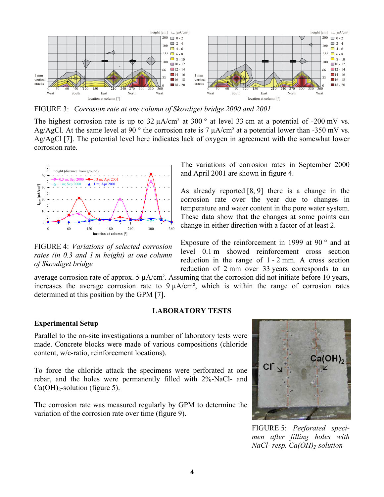

<span id="page-3-0"></span>FIGURE 3: *Corrosion rate at one column of Skovdiget bridge 2000 and 2001* 

The highest corrosion rate is up to  $32 \mu A/cm^2$  at  $300^\circ$  at level 33 cm at a potential of -200 mV vs. Ag/AgCl. At the same level at 90  $\degree$  the corrosion rate is 7  $\mu$ A/cm<sup>2</sup> at a potential lower than -350 mV vs. Ag/AgCl [[7\]](#page-2-2). The potential level here indicates lack of oxygen in agreement with the somewhat lower corrosion rate.



The variations of corrosion rates in September 2000 and April 2001 are shown in [figure 4.](#page-3-1)

<span id="page-3-3"></span>As already reported [\[8](#page-7-6), [9](#page-7-6)] there is a change in the corrosion rate over the year due to changes in temperature and water content in the pore water system. These data show that the changes at some points can change in either direction with a factor of at least 2.

<span id="page-3-1"></span>FIGURE 4: *Variations of selected corrosion rates (in 0.3 and 1 m height) at one column of Skovdiget bridge* 

Exposure of the reinforcement in 1999 at 90 $\degree$  and at level 0.1 m showed reinforcement cross section reduction in the range of 1 - 2 mm. A cross section reduction of 2 mm over 33 years corresponds to an

average corrosion rate of approx.  $5 \mu A/cm^2$ . Assuming that the corrosion did not initiate before 10 years, increases the average corrosion rate to  $9 \mu A/cm^2$ , which is within the range of corrosion rates determined at this position by the GPM [[7\]](#page-2-2).

## **LABORATORY TESTS**

#### **Experimental Setup**

Parallel to the on-site investigations a number of laboratory tests were made. Concrete blocks were made of various compositions (chloride content, w/c-ratio, reinforcement locations).

To force the chloride attack the specimens were perforated at one rebar, and the holes were permanently filled with 2%-NaCl- and  $Ca(OH)<sub>2</sub>$ -solution ([figure 5\)](#page-3-2).

The corrosion rate was measured regularly by GPM to determine the variation of the corrosion rate over time [\(figure 9\)](#page-5-0).

<span id="page-3-2"></span>

FIGURE 5: *Perforated specimen after filling holes with NaCl- resp. Ca(OH)2-solution*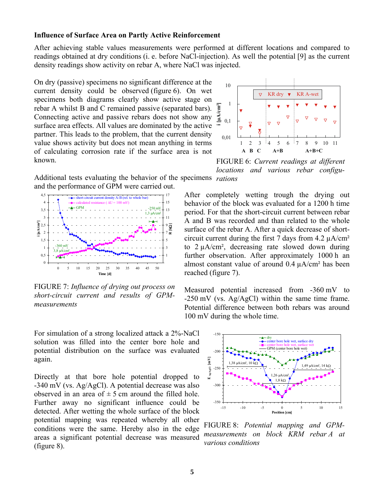#### **Influence of Surface Area on Partly Active Reinforcement**

After achieving stable values measurements were performed at different locations and compared to readings obtained at dry conditions (i. e. before NaCl-injection). As well the potential [9[\] a](#page-3-3)s the current density readings show activity on rebar A, where NaCl was injected.

On dry (passive) specimens no significant difference at the current density could be obser[ved \(figur](#page-4-0)e 6). On wet specimens both diagrams clearly show active stage on rebar A whilst B and C remained passive (separated bars). Connecting active and passive rebars does not show any surface area effects. All values are dominated by the active partner. This leads to the problem, that the current density value shows activity but does not mean anything in terms of calculating corrosion rate if the surface area is not known.



<span id="page-4-0"></span>FIGURE 6: *Current readings at different locations and various rebar configu-*

Additional tests evaluating the behavior of the specimens *rations*  and the performance of GPM were carried out.



<span id="page-4-1"></span>FIGURE 7: *Influence of drying out process on short-circuit current and results of GPMmeasurements* 

For simulation of a strong localized attack a 2%-NaCl solution was filled into the center bore hole and potential distribution on the surface was evaluated again.

Directly at that bore hole potential dropped to -340 mV (vs. Ag/AgCl). A potential decrease was also observed in an area of  $\pm$  5 cm around the filled hole. Further away no significant influence could be detected. After wetting the whole surface of the block potential mapping was repeated whereby all other conditions were the same. Hereby also in the edge areas a significant potential decrease was measured [\(figure 8\)](#page-4-2).

After completely wetting trough the drying out behavior of the block was evaluated for a 1200 h time period. For that the short-circuit current between rebar A and B was recorded and than related to the whole surface of the rebar A. After a quick decrease of shortcircuit current during the first 7 days from  $4.2 \mu A/cm^2$ to 2 µA/cm², decreasing rate slowed down during further observation. After approximately 1000 h an almost constant value of around  $0.4 \mu A/cm^2$  has been reached ([figure 7\)](#page-4-1).

Measured potential increased from -360 mV to -250 mV (vs. Ag/AgCl) within the same time frame. Potential difference between both rebars was around 100 mV during the whole time.



<span id="page-4-2"></span>FIGURE 8: *Potential mapping and GPMmeasurements on block KRM rebar A at various conditions*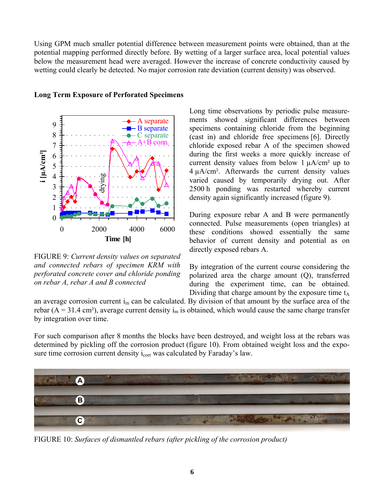Using GPM much smaller potential difference between measurement points were obtained, than at the potential mapping performed directly before. By wetting of a larger surface area, local potential values below the measurement head were averaged. However the increase of concrete conductivity caused by wetting could clearly be detected. No major corrosion rate deviation (current density) was observed.



**Long Term Exposure of Perforated Specimens** 

<span id="page-5-0"></span>FIGURE 9: *Current density values on separated and connected rebars of specimen KRM with perforated concrete cover and chloride ponding on rebar A, rebar A and B connected* 

Long time observations by periodic pulse measurements showed significant differences between specimens containing chloride from the beginning (cast in) and chloride free specimens [[6\]](#page-2-3). Directly chloride exposed rebar A of the specimen showed during the first weeks a more quickly increase of current density values from below  $1 \mu A/cm^2$  up to 4 µA/cm². Afterwards the current density values varied caused by temporarily drying out. After 2500 h ponding was restarted whereby current density again significantly increased (f[igure 9\).](#page-5-0) 

During exposure rebar A and B were permanently connected. Pulse measurements (open triangles) at these conditions showed essentially the same behavior of current density and potential as on directly exposed rebars A.

By integration of the current course considering the polarized area the charge amount (Q), transferred during the experiment time, can be obtained. Dividing that charge amount by the exposure time  $t_A$ 

an average corrosion current  $i_m$  can be calculated. By division of that amount by the surface area of the rebar ( $A = 31.4$  cm<sup>2</sup>), average current density i<sub>m</sub> is obtained, which would cause the same charge transfer by integration over time.

For such comparison after 8 months the blocks have been destroyed, and weight loss at the rebars was determined by pickling off the corrosion product [\(figure 10\)](#page-5-1). From obtained weight loss and the exposure time corrosion current density  $i_{corr}$  was calculated by Faraday's law.



<span id="page-5-1"></span>FIGURE 10: *Surfaces of dismantled rebars (after pickling of the corrosion product)*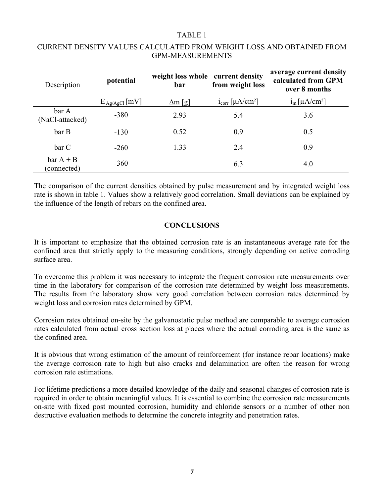## <span id="page-6-0"></span>TABLE 1

| Description                | potential          | weight loss whole current density<br>bar | from weight loss                       | average current density<br>calculated from GPM<br>over 8 months |
|----------------------------|--------------------|------------------------------------------|----------------------------------------|-----------------------------------------------------------------|
|                            | $E_{Ag/AgCl}$ [mV] | $\Delta m$ [g]                           | $1_{corr}$ [ $\mu$ A/cm <sup>2</sup> ] | $i_m$ [ $\mu$ A/cm <sup>2</sup> ]                               |
| bar A<br>(NaCl-attacked)   | $-380$             | 2.93                                     | 5.4                                    | 3.6                                                             |
| bar B                      | $-130$             | 0.52                                     | 0.9                                    | 0.5                                                             |
| bar C                      | $-260$             | 1.33                                     | 2.4                                    | 0.9                                                             |
| $bar A + B$<br>(connected) | $-360$             |                                          | 6.3                                    | 4.0                                                             |

# CURRENT DENSITY VALUES CALCULATED FROM WEIGHT LOSS AND OBTAINED FROM GPM-MEASUREMENTS

The comparison of the current densities obtained by pulse measurement and by integrated weight loss rate is shown in [table 1.](#page-6-0) Values show a relatively good correlation. Small deviations can be explained by the influence of the length of rebars on the confined area.

# **CONCLUSIONS**

It is important to emphasize that the obtained corrosion rate is an instantaneous average rate for the confined area that strictly apply to the measuring conditions, strongly depending on active corroding surface area.

To overcome this problem it was necessary to integrate the frequent corrosion rate measurements over time in the laboratory for comparison of the corrosion rate determined by weight loss measurements. The results from the laboratory show very good correlation between corrosion rates determined by weight loss and corrosion rates determined by GPM.

Corrosion rates obtained on-site by the galvanostatic pulse method are comparable to average corrosion rates calculated from actual cross section loss at places where the actual corroding area is the same as the confined area.

It is obvious that wrong estimation of the amount of reinforcement (for instance rebar locations) make the average corrosion rate to high but also cracks and delamination are often the reason for wrong corrosion rate estimations.

For lifetime predictions a more detailed knowledge of the daily and seasonal changes of corrosion rate is required in order to obtain meaningful values. It is essential to combine the corrosion rate measurements on-site with fixed post mounted corrosion, humidity and chloride sensors or a number of other non destructive evaluation methods to determine the concrete integrity and penetration rates.